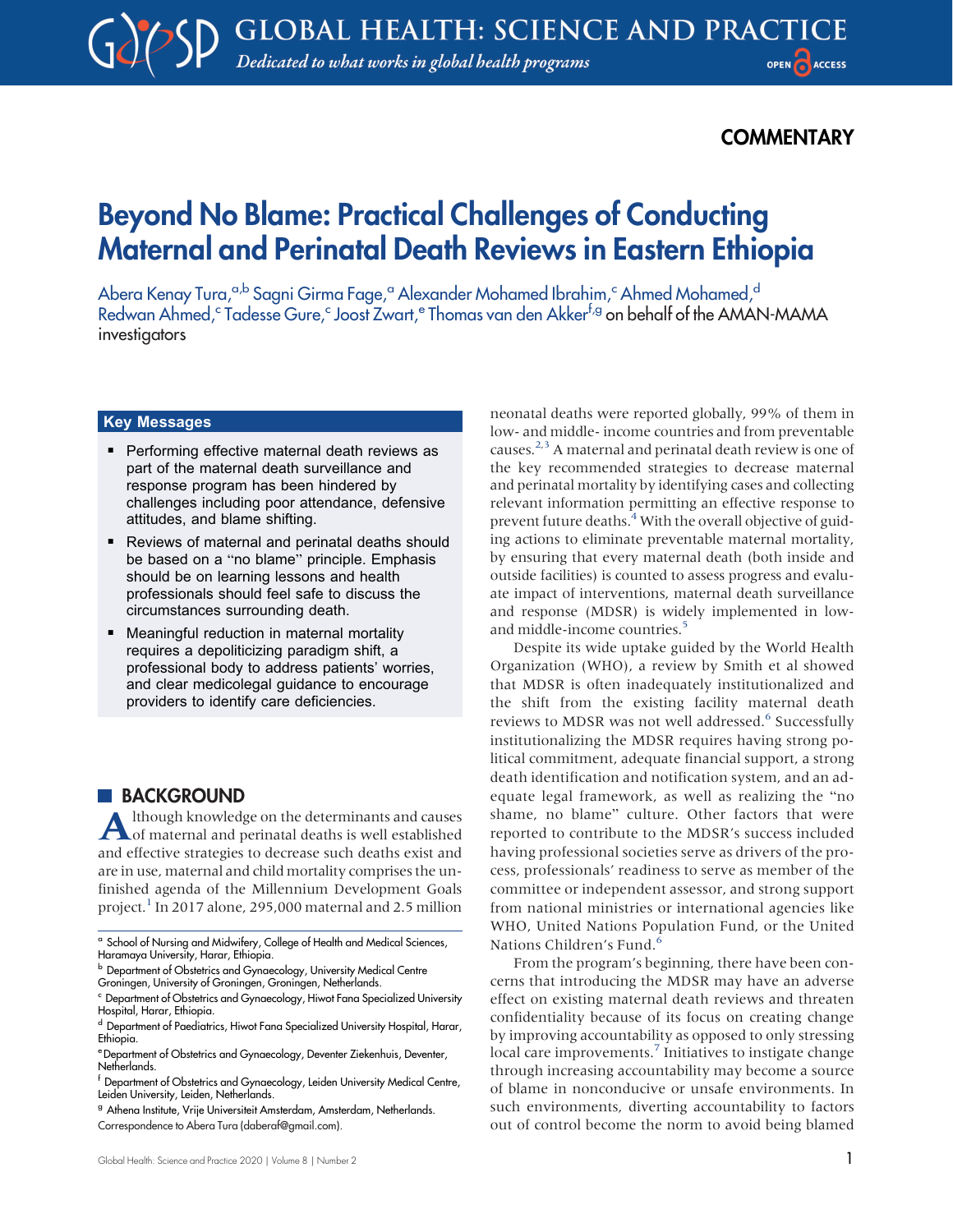## **COMMENTARY**

# Beyond No Blame: Practical Challenges of Conducting Maternal and Perinatal Death Reviews in Eastern Ethiopia

Abera Kenay Tura,<sup>a,b</sup> Sagni Girma Fage,<sup>a</sup> Alexander Mohamed Ibrahim,<sup>c</sup> Ahmed Mohamed,<sup>d</sup> Redwan Ahmed,<sup>c</sup> Tadesse Gure,<sup>c</sup> Joost Zwart,<sup>e</sup> Thomas van den Akker<sup>f,g</sup> on behalf of the AMAN-MAMA investigators

# <u>key messages</u>

- Performing effective maternal death reviews as part of the maternal death surveillance and response program has been hindered by challenges including poor attendance, defensive attitudes, and blame shifting.
- Reviews of maternal and perinatal deaths should be based on a "no blame" principle. Emphasis should be on learning lessons and health professionals should feel safe to discuss the circumstances surrounding death.
- **E** Meaningful reduction in maternal mortality requires a depoliticizing paradigm shift, a professional body to address patients' worries, and clear medicolegal guidance to encourage providers to identify care deficiencies.

#### **BACKGROUND**

Although knowledge on the determinants and causes of maternal and perinatal deaths is well established and effective strategies to decrease such deaths exist and are in use, maternal and child mortality comprises the unfinished agenda of the Millennium Development Goals project.<sup>[1](#page-3-0)</sup> In 2017 alone, 295,000 maternal and 2.5 million neonatal deaths were reported globally, 99% of them in low- and middle- income countries and from preventable causes.<sup>[2](#page-3-1)[,3](#page-3-2)</sup> A maternal and perinatal death review is one of the key recommended strategies to decrease maternal and perinatal mortality by identifying cases and collecting relevant information permitting an effective response to prevent future deaths.<sup>[4](#page-3-3)</sup> With the overall objective of guiding actions to eliminate preventable maternal mortality, by ensuring that every maternal death (both inside and outside facilities) is counted to assess progress and evaluate impact of interventions, maternal death surveillance and response (MDSR) is widely implemented in lowand middle-income countries.<sup>5</sup>

Despite its wide uptake guided by the World Health Organization (WHO), a review by Smith et al showed that MDSR is often inadequately institutionalized and the shift from the existing facility maternal death reviews to MDSR was not well addressed.<sup>[6](#page-3-5)</sup> Successfully institutionalizing the MDSR requires having strong political commitment, adequate financial support, a strong death identification and notification system, and an adequate legal framework, as well as realizing the "no shame, no blame" culture. Other factors that were reported to contribute to the MDSR's success included having professional societies serve as drivers of the process, professionals' readiness to serve as member of the committee or independent assessor, and strong support from national ministries or international agencies like WHO, United Nations Population Fund, or the United Nations Children's Fund.<sup>[6](#page-3-5)</sup>

From the program's beginning, there have been concerns that introducing the MDSR may have an adverse effect on existing maternal death reviews and threaten confidentiality because of its focus on creating change by improving accountability as opposed to only stressing local care improvements.<sup>7</sup> Initiatives to instigate change through increasing accountability may become a source of blame in nonconducive or unsafe environments. In such environments, diverting accountability to factors out of control become the norm to avoid being blamed

<sup>a</sup> School of Nursing and Midwifery, College of Health and Medical Sciences, Haramaya University, Harar, Ethiopia.

**b** Department of Obstetrics and Gynaecology, University Medical Centre

Groningen, University of Groningen, Groningen, Netherlands.

<sup>c</sup> Department of Obstetrics and Gynaecology, Hiwot Fana Specialized University Hospital, Harar, Ethiopia.

d Department of Paediatrics, Hiwot Fana Specialized University Hospital, Harar, Ethiopia.

eDepartment of Obstetrics and Gynaecology, Deventer Ziekenhuis, Deventer, Netherlands.

<sup>f</sup> Department of Obstetrics and Gynaecology, Leiden University Medical Centre, Leiden University, Leiden, Netherlands.

<sup>&</sup>lt;sup>g</sup> Athena Institute, Vrije Universiteit Amsterdam, Amsterdam, Netherlands.

Correspondence to Abera Tura ([daberaf@gmail.com](mailto:daberaf@gmail.com)).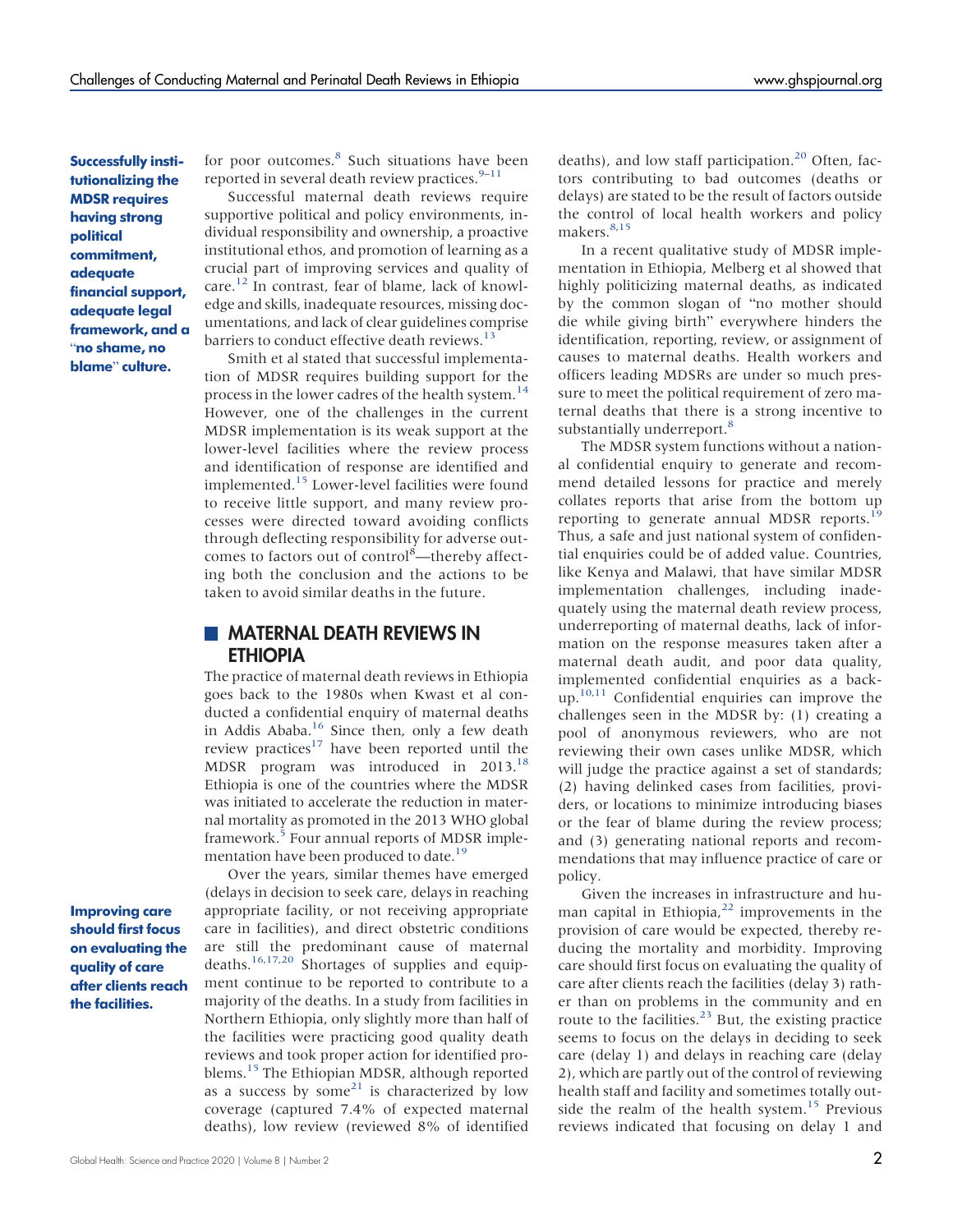Successfully institutionalizing the MDSR requires having strong political commitment, adequate financial support, adequate legal framework, and a "no shame, no blame" culture.

for poor outcomes.<sup>[8](#page-3-7)</sup> Such situations have been reported in several death review practices. $9-11$  $9-11$  $9-11$ 

Successful maternal death reviews require supportive political and policy environments, individual responsibility and ownership, a proactive institutional ethos, and promotion of learning as a crucial part of improving services and quality of care.[12](#page-3-10) In contrast, fear of blame, lack of knowledge and skills, inadequate resources, missing documentations, and lack of clear guidelines comprise barriers to conduct effective death reviews.<sup>[13](#page-3-11)</sup>

Smith et al stated that successful implementation of MDSR requires building support for the process in the lower cadres of the health system.<sup>[14](#page-3-12)</sup> However, one of the challenges in the current MDSR implementation is its weak support at the lower-level facilities where the review process and identification of response are identified and implemented.[15](#page-3-13) Lower-level facilities were found to receive little support, and many review processes were directed toward avoiding conflicts through deflecting responsibility for adverse outcomes to factors out of control<sup>8</sup>-thereby affecting both the conclusion and the actions to be taken to avoid similar deaths in the future.

#### **MATERNAL DEATH REVIEWS IN** ETHIOPIA

The practice of maternal death reviews in Ethiopia goes back to the 1980s when Kwast et al conducted a confidential enquiry of maternal deaths in Addis Ababa.<sup>16</sup> Since then, only a few death review practices<sup>[17](#page-3-15)</sup> have been reported until the MDSR program was introduced in 2013[.18](#page-3-16) Ethiopia is one of the countries where the MDSR was initiated to accelerate the reduction in maternal mortality as promoted in the 2013 WHO global framework.<sup>[5](#page-3-4)</sup> Four annual reports of MDSR implementation have been produced to date.<sup>19</sup>

Improving care should first focus on evaluating the quality of care after clients reach the facilities.

Over the years, similar themes have emerged (delays in decision to seek care, delays in reaching appropriate facility, or not receiving appropriate care in facilities), and direct obstetric conditions are still the predominant cause of maternal deaths.[16](#page-3-14)[,17,](#page-3-15)[20](#page-3-18) Shortages of supplies and equipment continue to be reported to contribute to a majority of the deaths. In a study from facilities in Northern Ethiopia, only slightly more than half of the facilities were practicing good quality death reviews and took proper action for identified pro-blems.<sup>[15](#page-3-13)</sup> The Ethiopian MDSR, although reported as a success by some $21$  is characterized by low coverage (captured 7.4% of expected maternal deaths), low review (reviewed 8% of identified deaths), and low staff participation.<sup>[20](#page-3-18)</sup> Often, factors contributing to bad outcomes (deaths or delays) are stated to be the result of factors outside the control of local health workers and policy makers.<sup>[8,](#page-3-7)[15](#page-3-13)</sup>

In a recent qualitative study of MDSR implementation in Ethiopia, Melberg et al showed that highly politicizing maternal deaths, as indicated by the common slogan of "no mother should die while giving birth" everywhere hinders the identification, reporting, review, or assignment of causes to maternal deaths. Health workers and officers leading MDSRs are under so much pressure to meet the political requirement of zero maternal deaths that there is a strong incentive to substantially underreport.<sup>[8](#page-3-7)</sup>

The MDSR system functions without a national confidential enquiry to generate and recommend detailed lessons for practice and merely collates reports that arise from the bottom up reporting to generate annual MDSR reports.<sup>[19](#page-3-17)</sup> Thus, a safe and just national system of confidential enquiries could be of added value. Countries, like Kenya and Malawi, that have similar MDSR implementation challenges, including inadequately using the maternal death review process, underreporting of maternal deaths, lack of information on the response measures taken after a maternal death audit, and poor data quality, implemented confidential enquiries as a back-up.<sup>10[,11](#page-3-9)</sup> Confidential enquiries can improve the challenges seen in the MDSR by: (1) creating a pool of anonymous reviewers, who are not reviewing their own cases unlike MDSR, which will judge the practice against a set of standards; (2) having delinked cases from facilities, providers, or locations to minimize introducing biases or the fear of blame during the review process; and (3) generating national reports and recommendations that may influence practice of care or policy.

Given the increases in infrastructure and human capital in Ethiopia, $22$  improvements in the provision of care would be expected, thereby reducing the mortality and morbidity. Improving care should first focus on evaluating the quality of care after clients reach the facilities (delay 3) rather than on problems in the community and en route to the facilities. $^{23}$  $^{23}$  $^{23}$  But, the existing practice seems to focus on the delays in deciding to seek care (delay 1) and delays in reaching care (delay 2), which are partly out of the control of reviewing health staff and facility and sometimes totally out-side the realm of the health system.<sup>[15](#page-3-13)</sup> Previous reviews indicated that focusing on delay 1 and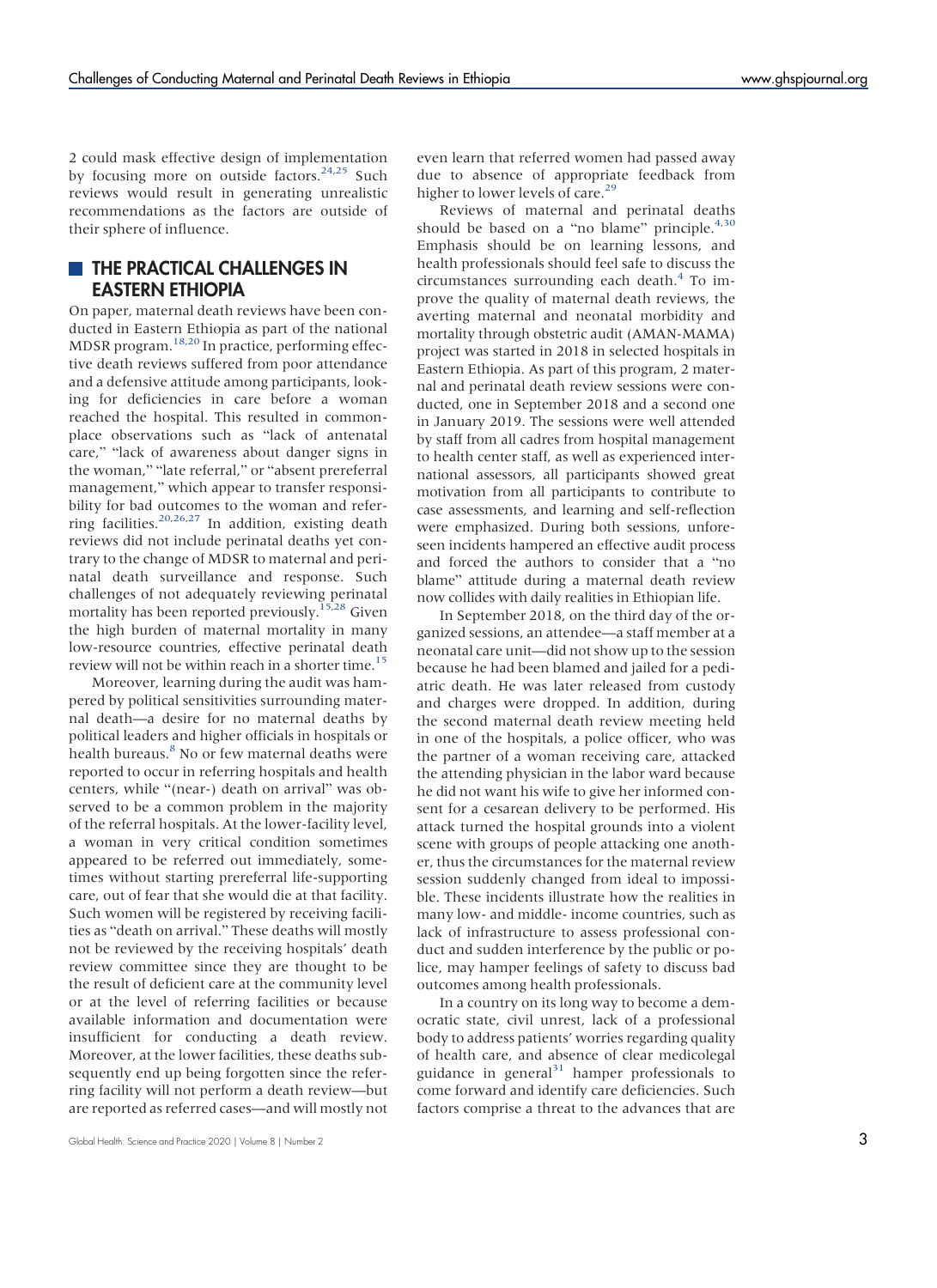2 could mask effective design of implementation by focusing more on outside factors.<sup>[24](#page-4-2)[,25](#page-4-3)</sup> Such reviews would result in generating unrealistic recommendations as the factors are outside of their sphere of influence.

### **THE PRACTICAL CHALLENGES IN** EASTERN ETHIOPIA

On paper, maternal death reviews have been conducted in Eastern Ethiopia as part of the national MDSR program.[18,](#page-3-21)[20](#page-3-22) In practice, performing effective death reviews suffered from poor attendance and a defensive attitude among participants, looking for deficiencies in care before a woman reached the hospital. This resulted in commonplace observations such as "lack of antenatal care," "lack of awareness about danger signs in the woman," "late referral," or "absent prereferral management," which appear to transfer responsibility for bad outcomes to the woman and refer-ring facilities.<sup>[20,](#page-3-22)[26](#page-4-4)[,27](#page-4-5)</sup> In addition, existing death reviews did not include perinatal deaths yet contrary to the change of MDSR to maternal and perinatal death surveillance and response. Such challenges of not adequately reviewing perinatal mortality has been reported previously.<sup>[15,](#page-3-23)[28](#page-4-6)</sup> Given the high burden of maternal mortality in many low-resource countries, effective perinatal death review will not be within reach in a shorter time.<sup>15</sup>

Moreover, learning during the audit was hampered by political sensitivities surrounding maternal death—a desire for no maternal deaths by political leaders and higher officials in hospitals or health bureaus.<sup>[8](#page-3-24)</sup> No or few maternal deaths were reported to occur in referring hospitals and health centers, while "(near-) death on arrival" was observed to be a common problem in the majority of the referral hospitals. At the lower-facility level, a woman in very critical condition sometimes appeared to be referred out immediately, sometimes without starting prereferral life-supporting care, out of fear that she would die at that facility. Such women will be registered by receiving facilities as "death on arrival." These deaths will mostly not be reviewed by the receiving hospitals' death review committee since they are thought to be the result of deficient care at the community level or at the level of referring facilities or because available information and documentation were insufficient for conducting a death review. Moreover, at the lower facilities, these deaths subsequently end up being forgotten since the referring facility will not perform a death review—but are reported as referred cases—and will mostly not

Global Health: Science and Practice 2020 | Volume 8 | Number 2 3

even learn that referred women had passed away due to absence of appropriate feedback from higher to lower levels of care.<sup>[29](#page-4-7)</sup>

Reviews of maternal and perinatal deaths should be based on a "no blame" principle. $4,30$  $4,30$ Emphasis should be on learning lessons, and health professionals should feel safe to discuss the circumstances surrounding each death.[4](#page-3-25) To improve the quality of maternal death reviews, the averting maternal and neonatal morbidity and mortality through obstetric audit (AMAN-MAMA) project was started in 2018 in selected hospitals in Eastern Ethiopia. As part of this program, 2 maternal and perinatal death review sessions were conducted, one in September 2018 and a second one in January 2019. The sessions were well attended by staff from all cadres from hospital management to health center staff, as well as experienced international assessors, all participants showed great motivation from all participants to contribute to case assessments, and learning and self-reflection were emphasized. During both sessions, unforeseen incidents hampered an effective audit process and forced the authors to consider that a "no blame" attitude during a maternal death review now collides with daily realities in Ethiopian life.

In September 2018, on the third day of the organized sessions, an attendee—a staff member at a neonatal care unit—did not show up to the session because he had been blamed and jailed for a pediatric death. He was later released from custody and charges were dropped. In addition, during the second maternal death review meeting held in one of the hospitals, a police officer, who was the partner of a woman receiving care, attacked the attending physician in the labor ward because he did not want his wife to give her informed consent for a cesarean delivery to be performed. His attack turned the hospital grounds into a violent scene with groups of people attacking one another, thus the circumstances for the maternal review session suddenly changed from ideal to impossible. These incidents illustrate how the realities in many low- and middle- income countries, such as lack of infrastructure to assess professional conduct and sudden interference by the public or police, may hamper feelings of safety to discuss bad outcomes among health professionals.

In a country on its long way to become a democratic state, civil unrest, lack of a professional body to address patients' worries regarding quality of health care, and absence of clear medicolegal guidance in general $31$  hamper professionals to come forward and identify care deficiencies. Such factors comprise a threat to the advances that are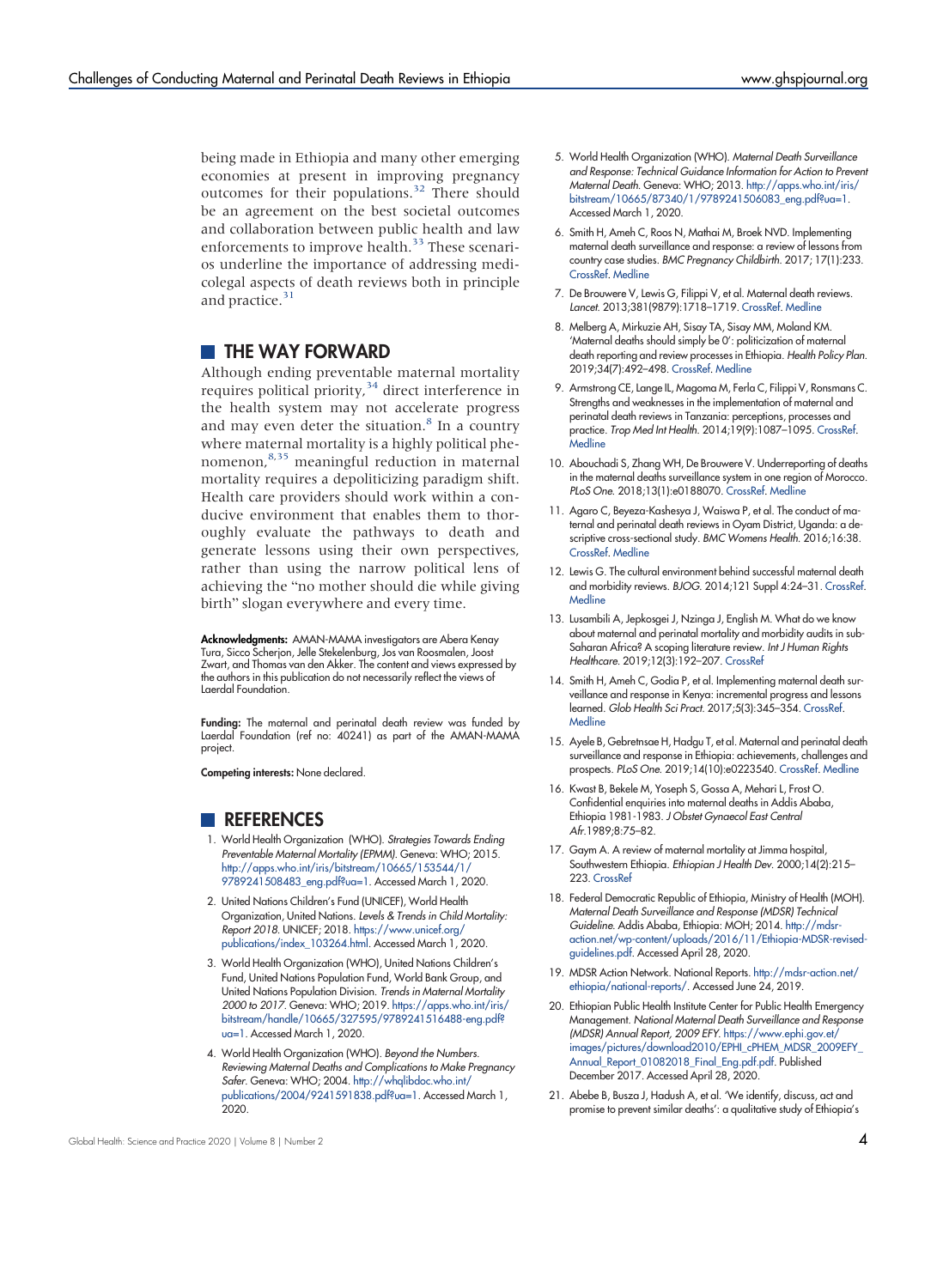being made in Ethiopia and many other emerging economies at present in improving pregnancy outcomes for their populations.[32](#page-4-10) There should be an agreement on the best societal outcomes and collaboration between public health and law enforcements to improve health.<sup>33</sup> These scenarios underline the importance of addressing medicolegal aspects of death reviews both in principle and practice.<sup>[31](#page-4-9)</sup>

#### **THE WAY FORWARD**

Although ending preventable maternal mortality requires political priority,<sup>34</sup> direct interference in the health system may not accelerate progress and may even deter the situation. $8$  In a country where maternal mortality is a highly political phenomenon,[8](#page-3-24)[,35](#page-4-13) meaningful reduction in maternal mortality requires a depoliticizing paradigm shift. Health care providers should work within a conducive environment that enables them to thoroughly evaluate the pathways to death and generate lessons using their own perspectives, rather than using the narrow political lens of achieving the "no mother should die while giving birth" slogan everywhere and every time.

Acknowledgments: AMAN-MAMA investigators are Abera Kenay Tura, Sicco Scherjon, Jelle Stekelenburg, Jos van Roosmalen, Joost Zwart, and Thomas van den Akker. The content and views expressed by the authors in this publication do not necessarily reflect the views of Laerdal Foundation.

Funding: The maternal and perinatal death review was funded by Laerdal Foundation (ref no: 40241) as part of the AMAN-MAMA project.

<span id="page-3-0"></span>Competing interests: None declared.

#### <span id="page-3-1"></span>**REFERENCES**

- 1. World Health Organization (WHO). Strategies Towards Ending Preventable Maternal Mortality (EPMM). Geneva: WHO; 2015. [http://apps.who.int/iris/bitstream/10665/153544/1/](http://apps.who.int/iris/bitstream/10665/153544/1/9789241508483_eng.pdf?ua=1) [9789241508483\\_eng.pdf?ua=1](http://apps.who.int/iris/bitstream/10665/153544/1/9789241508483_eng.pdf?ua=1). Accessed March 1, 2020.
- <span id="page-3-2"></span>2. United Nations Children's Fund (UNICEF), World Health Organization, United Nations. Levels & Trends in Child Mortality: Report 2018. UNICEF; 2018. [https://www.unicef.org/](https://www.unicef.org/publications/index_103264.html) [publications/index\\_103264.html.](https://www.unicef.org/publications/index_103264.html) Accessed March 1, 2020.
- <span id="page-3-3"></span>3. World Health Organization (WHO), United Nations Children's Fund, United Nations Population Fund, World Bank Group, and United Nations Population Division. Trends in Maternal Mortality 2000 to 2017. Geneva: WHO; 2019. [https://apps.who.int/iris/](https://apps.who.int/iris/bitstream/handle/10665/327595/9789241516488-eng.pdf?ua=1) [bitstream/handle/10665/327595/9789241516488-eng.pdf?](https://apps.who.int/iris/bitstream/handle/10665/327595/9789241516488-eng.pdf?ua=1) [ua=1](https://apps.who.int/iris/bitstream/handle/10665/327595/9789241516488-eng.pdf?ua=1). Accessed March 1, 2020.
- <span id="page-3-25"></span>4. World Health Organization (WHO). Beyond the Numbers. Reviewing Maternal Deaths and Complications to Make Pregnancy Safer. Geneva: WHO; 2004. [http://whqlibdoc.who.int/](http://whqlibdoc.who.int/publications/2004/9241591838.pdf?ua=1) [publications/2004/9241591838.pdf?ua=1](http://whqlibdoc.who.int/publications/2004/9241591838.pdf?ua=1). Accessed March 1, 2020.
- <span id="page-3-7"></span><span id="page-3-6"></span><span id="page-3-5"></span><span id="page-3-4"></span>6. Smith H, Ameh C, Roos N, Mathai M, Broek NVD. Implementing maternal death surveillance and response: a review of lessons from country case studies. BMC Pregnancy Childbirth. 2017; 17(1):233. [CrossRef](https://doi.org/10.1186/s12884-017-1405-6). [Medline](http://www.ncbi.nlm.nih.gov/pubmed/28716124)
- 7. De Brouwere V, Lewis G, Filippi V, et al. Maternal death reviews. Lancet. 2013;381(9879):1718–1719. [CrossRef.](https://doi.org/10.1016/s0140-6736(13)61076-4) [Medline](http://www.ncbi.nlm.nih.gov/pubmed/23683635)
- <span id="page-3-24"></span><span id="page-3-8"></span>8. Melberg A, Mirkuzie AH, Sisay TA, Sisay MM, Moland KM. 'Maternal deaths should simply be 0': politicization of maternal death reporting and review processes in Ethiopia. Health Policy Plan. 2019;34(7):492–498. [CrossRef](https://doi.org/10.1093/heapol/czz075). [Medline](http://www.ncbi.nlm.nih.gov/pubmed/31365076)
- <span id="page-3-20"></span>9. Armstrong CE, Lange IL, Magoma M, Ferla C, Filippi V, Ronsmans C. Strengths and weaknesses in the implementation of maternal and perinatal death reviews in Tanzania: perceptions, processes and practice. Trop Med Int Health. 2014;19(9):1087–1095. [CrossRef](https://doi.org/10.1111/tmi.12353). **[Medline](http://www.ncbi.nlm.nih.gov/pubmed/25039579)**
- <span id="page-3-9"></span>10. Abouchadi S, Zhang WH, De Brouwere V. Underreporting of deaths in the maternal deaths surveillance system in one region of Morocco. PLoS One. 2018;13(1):e0188070. [CrossRef.](https://doi.org/10.1371/journal.pone.0188070) [Medline](http://www.ncbi.nlm.nih.gov/pubmed/29385140)
- <span id="page-3-11"></span><span id="page-3-10"></span>11. Agaro C, Beyeza-Kashesya J, Waiswa P, et al. The conduct of maternal and perinatal death reviews in Oyam District, Uganda: a descriptive cross-sectional study. BMC Womens Health. 2016;16:38. [CrossRef](https://doi.org/10.1186/s12905-016-0315-5). [Medline](http://www.ncbi.nlm.nih.gov/pubmed/27418127)
- 12. Lewis G. The cultural environment behind successful maternal death and morbidity reviews. BJOG. 2014;121 Suppl 4:24–31. [CrossRef](https://doi.org/10.1111/1471-0528.12801). **[Medline](http://www.ncbi.nlm.nih.gov/pubmed/25236630)**
- <span id="page-3-12"></span>13. Lusambili A, Jepkosgei J, Nzinga J, English M. What do we know about maternal and perinatal mortality and morbidity audits in sub-Saharan Africa? A scoping literature review. Int J Human Rights Healthcare. 2019;12(3):192–207. [CrossRef](https://doi.org/10.1108/IJHRH-07-2018-0052)
- <span id="page-3-14"></span><span id="page-3-13"></span>14. Smith H, Ameh C, Godia P, et al. Implementing maternal death surveillance and response in Kenya: incremental progress and lessons learned. Glob Health Sci Pract. 2017;5(3):345–354. [CrossRef](https://doi.org/10.9745/ghsp-d-17-00130). **[Medline](http://www.ncbi.nlm.nih.gov/pubmed/28963171)**
- <span id="page-3-23"></span>15. Ayele B, Gebretnsae H, Hadgu T, et al. Maternal and perinatal death surveillance and response in Ethiopia: achievements, challenges and prospects. PLoS One. 2019;14(10):e0223540. [CrossRef](https://doi.org/10.1371/journal.pone.0223540). [Medline](http://www.ncbi.nlm.nih.gov/pubmed/31603937)
- <span id="page-3-16"></span><span id="page-3-15"></span>16. Kwast B, Bekele M, Yoseph S, Gossa A, Mehari L, Frost O. Confidential enquiries into maternal deaths in Addis Ababa, Ethiopia 1981-1983. J Obstet Gynaecol East Central Afr.1989;8:75–82.
- 17. Gaym A. A review of maternal mortality at Jimma hospital, Southwestern Ethiopia. Ethiopian J Health Dev. 2000;14(2):215-223. [CrossRef](https://doi.org/10.4314/ejhd.v14i2.9922)
- <span id="page-3-21"></span><span id="page-3-18"></span><span id="page-3-17"></span>18. Federal Democratic Republic of Ethiopia, Ministry of Health (MOH). Maternal Death Surveillance and Response (MDSR) Technical Guideline. Addis Ababa, Ethiopia: MOH; 2014. [http://mdsr](http://mdsr-action.net/wp-content/uploads/2016/11/Ethiopia-MDSR-revised-guidelines.pdf)[action.net/wp-content/uploads/2016/11/Ethiopia-MDSR-revised](http://mdsr-action.net/wp-content/uploads/2016/11/Ethiopia-MDSR-revised-guidelines.pdf)[guidelines.pdf.](http://mdsr-action.net/wp-content/uploads/2016/11/Ethiopia-MDSR-revised-guidelines.pdf) Accessed April 28, 2020.
- 19. MDSR Action Network. National Reports. [http://mdsr-action.net/](http://mdsr-action.net/ethiopia/national-reports/) [ethiopia/national-reports/](http://mdsr-action.net/ethiopia/national-reports/). Accessed June 24, 2019.
- <span id="page-3-22"></span><span id="page-3-19"></span>20. Ethiopian Public Health Institute Center for Public Health Emergency Management. National Maternal Death Surveillance and Response (MDSR) Annual Report, 2009 EFY. [https://www.ephi.gov.et/](https://www.ephi.gov.et/images/pictures/download2010/EPHI_cPHEM_MDSR_2009EFY_Annual_Report_01082018_Final_Eng.pdf.pdf) [images/pictures/download2010/EPHI\\_cPHEM\\_MDSR\\_2009EFY\\_](https://www.ephi.gov.et/images/pictures/download2010/EPHI_cPHEM_MDSR_2009EFY_Annual_Report_01082018_Final_Eng.pdf.pdf) [Annual\\_Report\\_01082018\\_Final\\_Eng.pdf.pdf.](https://www.ephi.gov.et/images/pictures/download2010/EPHI_cPHEM_MDSR_2009EFY_Annual_Report_01082018_Final_Eng.pdf.pdf) Published December 2017. Accessed April 28, 2020.
- 21. Abebe B, Busza J, Hadush A, et al. 'We identify, discuss, act and promise to prevent similar deaths': a qualitative study of Ethiopia's